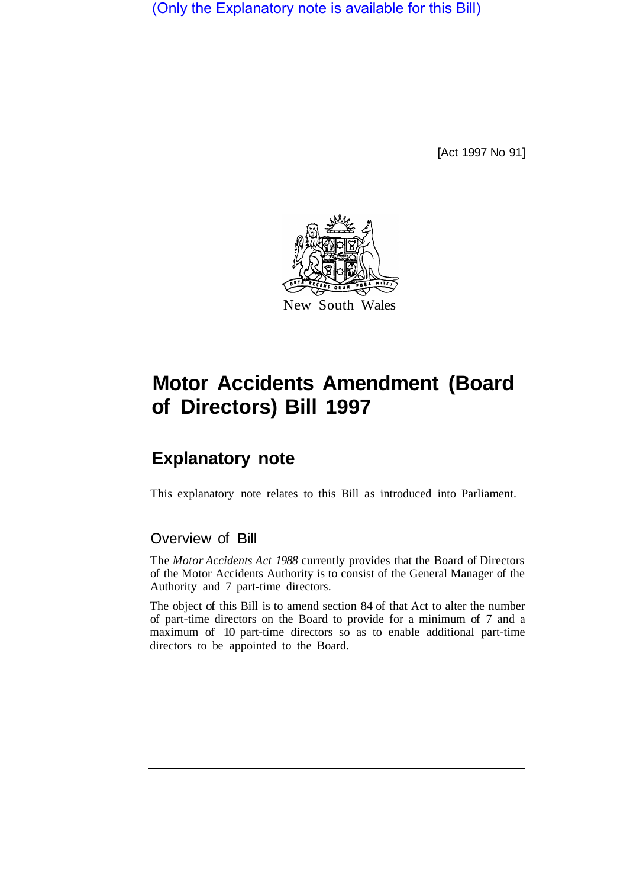(Only the Explanatory note is available for this Bill)

[Act 1997 No 91]



## **Motor Accidents Amendment (Board of Directors) Bill 1997**

## **Explanatory note**

This explanatory note relates to this Bill as introduced into Parliament.

## Overview of Bill

The *Motor Accidents Act 1988* currently provides that the Board of Directors of the Motor Accidents Authority is to consist of the General Manager of the Authority and 7 part-time directors.

The object of this Bill is to amend section 84 of that Act to alter the number of part-time directors on the Board to provide for a minimum of 7 and a maximum of 10 part-time directors so as to enable additional part-time directors to be appointed to the Board.